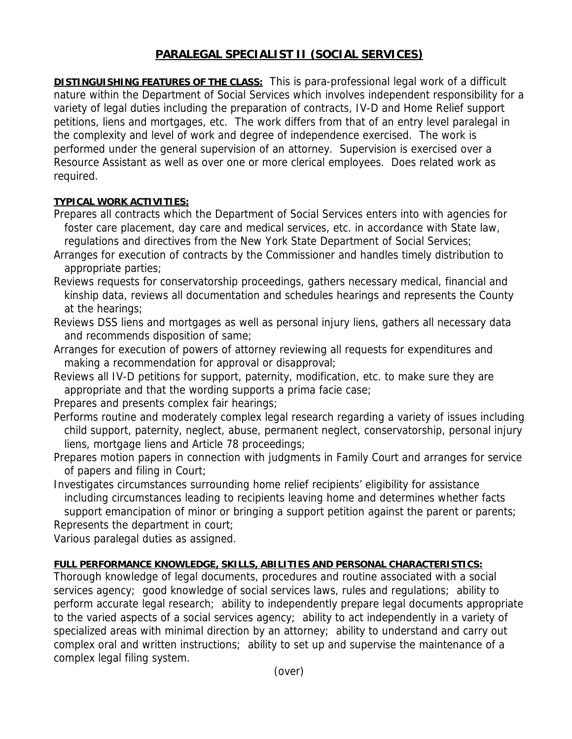## **PARALEGAL SPECIALIST II (SOCIAL SERVICES)**

**DISTINGUISHING FEATURES OF THE CLASS:** This is para-professional legal work of a difficult nature within the Department of Social Services which involves independent responsibility for a variety of legal duties including the preparation of contracts, IV-D and Home Relief support petitions, liens and mortgages, etc. The work differs from that of an entry level paralegal in the complexity and level of work and degree of independence exercised. The work is performed under the general supervision of an attorney. Supervision is exercised over a Resource Assistant as well as over one or more clerical employees. Does related work as required.

## **TYPICAL WORK ACTIVITIES:**

- Prepares all contracts which the Department of Social Services enters into with agencies for foster care placement, day care and medical services, etc. in accordance with State law, regulations and directives from the New York State Department of Social Services;
- Arranges for execution of contracts by the Commissioner and handles timely distribution to appropriate parties;
- Reviews requests for conservatorship proceedings, gathers necessary medical, financial and kinship data, reviews all documentation and schedules hearings and represents the County at the hearings;
- Reviews DSS liens and mortgages as well as personal injury liens, gathers all necessary data and recommends disposition of same;
- Arranges for execution of powers of attorney reviewing all requests for expenditures and making a recommendation for approval or disapproval;
- Reviews all IV-D petitions for support, paternity, modification, etc. to make sure they are appropriate and that the wording supports a prima facie case;
- Prepares and presents complex fair hearings;
- Performs routine and moderately complex legal research regarding a variety of issues including child support, paternity, neglect, abuse, permanent neglect, conservatorship, personal injury liens, mortgage liens and Article 78 proceedings;
- Prepares motion papers in connection with judgments in Family Court and arranges for service of papers and filing in Court;

Investigates circumstances surrounding home relief recipients' eligibility for assistance including circumstances leading to recipients leaving home and determines whether facts support emancipation of minor or bringing a support petition against the parent or parents;

Represents the department in court;

Various paralegal duties as assigned.

## **FULL PERFORMANCE KNOWLEDGE, SKILLS, ABILITIES AND PERSONAL CHARACTERISTICS:**

Thorough knowledge of legal documents, procedures and routine associated with a social services agency; good knowledge of social services laws, rules and regulations; ability to perform accurate legal research; ability to independently prepare legal documents appropriate to the varied aspects of a social services agency; ability to act independently in a variety of specialized areas with minimal direction by an attorney; ability to understand and carry out complex oral and written instructions; ability to set up and supervise the maintenance of a complex legal filing system.